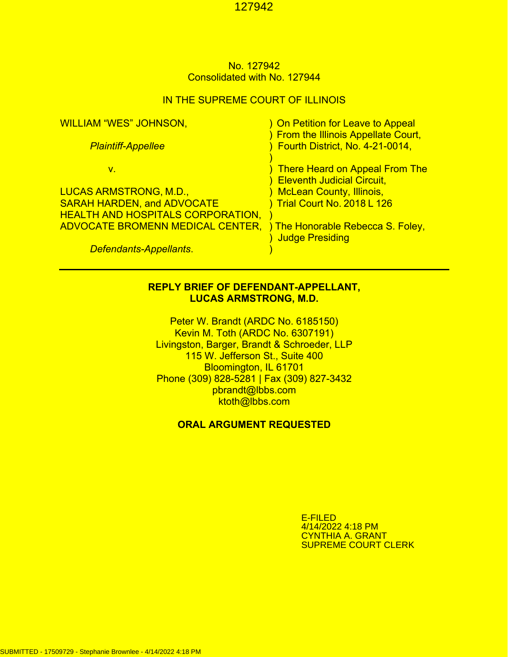## No. 127942 Consolidated with No. 127944

### IN THE SUPREME COURT OF ILLINOIS

| <b>WILLIAM "WES" JOHNSON,</b>            | ) On Petition for Leave to Appeal<br>) From the Illinois Appellate Court, |
|------------------------------------------|---------------------------------------------------------------------------|
| <b>Plaintiff-Appellee</b>                | Fourth District, No. 4-21-0014,                                           |
| v.                                       | <b>There Heard on Appeal From The</b>                                     |
|                                          | <b>Eleventh Judicial Circuit,</b>                                         |
| <u>LUCAS ARMSTRONG, M.D.,</u>            | <b>McLean County, Illinois,</b>                                           |
| <b>SARAH HARDEN, and ADVOCATE</b>        | Trial Court No. 2018 L 126                                                |
| <b>HEALTH AND HOSPITALS CORPORATION,</b> |                                                                           |
| <b>ADVOCATE BROMENN MEDICAL CENTER,</b>  | ) The Honorable Rebecca S. Foley,<br><b>Judge Presiding</b>               |
| Defendants-Appellants.                   |                                                                           |

## **REPLY BRIEF OF DEFENDANT-APPELLANT, LUCAS ARMSTRONG, M.D.**

Peter W. Brandt (ARDC No. 6185150) Kevin M. Toth (ARDC No. 6307191) Livingston, Barger, Brandt & Schroeder, LLP 115 W. Jefferson St., Suite 400 Bloomington, IL 61701 Phone (309) 828-5281 | Fax (309) 827-3432 pbrandt@lbbs.com ktoth@lbbs.com

## **ORAL ARGUMENT REQUESTED**

E-FILED 4/14/2022 4:18 PM CYNTHIA A. GRANT SUPREME COURT CLERK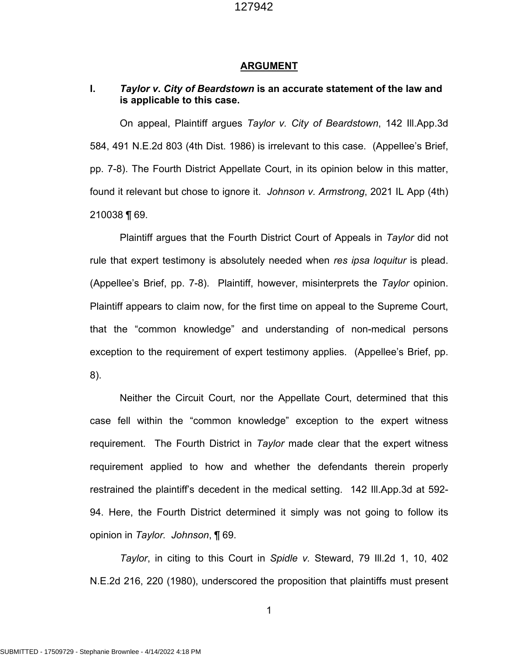#### **ARGUMENT**

## **I.** *Taylor v. City of Beardstown* **is an accurate statement of the law and is applicable to this case.**

On appeal, Plaintiff argues *Taylor v. City of Beardstown*, 142 Ill.App.3d 584, 491 N.E.2d 803 (4th Dist. 1986) is irrelevant to this case. (Appellee's Brief, pp. 7-8). The Fourth District Appellate Court, in its opinion below in this matter, found it relevant but chose to ignore it. *Johnson v. Armstrong*, 2021 IL App (4th) 210038 ¶ 69.

Plaintiff argues that the Fourth District Court of Appeals in *Taylor* did not rule that expert testimony is absolutely needed when *res ipsa loquitur* is plead. (Appellee's Brief, pp. 7-8). Plaintiff, however, misinterprets the *Taylor* opinion. Plaintiff appears to claim now, for the first time on appeal to the Supreme Court, that the "common knowledge" and understanding of non-medical persons exception to the requirement of expert testimony applies. (Appellee's Brief, pp. 8).

Neither the Circuit Court, nor the Appellate Court, determined that this case fell within the "common knowledge" exception to the expert witness requirement. The Fourth District in *Taylor* made clear that the expert witness requirement applied to how and whether the defendants therein properly restrained the plaintiff's decedent in the medical setting. 142 Ill.App.3d at 592- 94. Here, the Fourth District determined it simply was not going to follow its opinion in *Taylor. Johnson*, ¶ 69.

*Taylor*, in citing to this Court in *Spidle v.* Steward, 79 Ill.2d 1, 10, 402 N.E.2d 216, 220 (1980), underscored the proposition that plaintiffs must present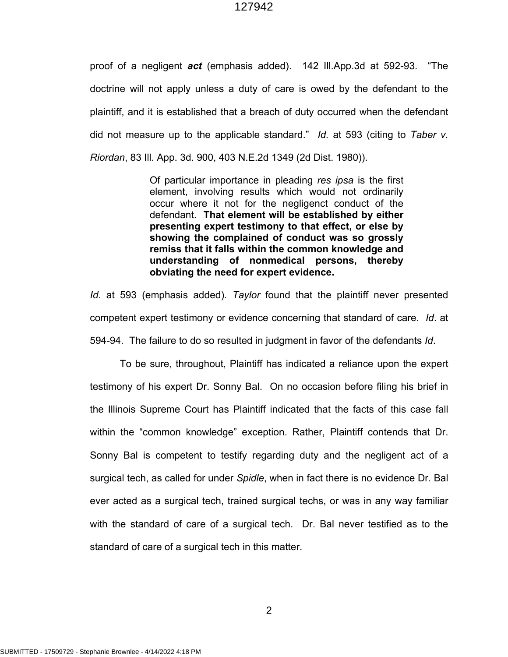proof of a negligent *act* (emphasis added). 142 Ill.App.3d at 592-93. "The doctrine will not apply unless a duty of care is owed by the defendant to the plaintiff, and it is established that a breach of duty occurred when the defendant did not measure up to the applicable standard." *Id.* at 593 (citing to *Taber v. Riordan*, 83 Ill. App. 3d. 900, 403 N.E.2d 1349 (2d Dist. 1980)).

> Of particular importance in pleading *res ipsa* is the first element, involving results which would not ordinarily occur where it not for the negligenct conduct of the defendant. **That element will be established by either presenting expert testimony to that effect, or else by showing the complained of conduct was so grossly remiss that it falls within the common knowledge and understanding of nonmedical persons, thereby obviating the need for expert evidence.**

*Id*. at 593 (emphasis added). *Taylor* found that the plaintiff never presented competent expert testimony or evidence concerning that standard of care. *Id*. at 594-94. The failure to do so resulted in judgment in favor of the defendants *Id*.

To be sure, throughout, Plaintiff has indicated a reliance upon the expert testimony of his expert Dr. Sonny Bal. On no occasion before filing his brief in the Illinois Supreme Court has Plaintiff indicated that the facts of this case fall within the "common knowledge" exception. Rather, Plaintiff contends that Dr. Sonny Bal is competent to testify regarding duty and the negligent act of a surgical tech, as called for under *Spidle*, when in fact there is no evidence Dr. Bal ever acted as a surgical tech, trained surgical techs, or was in any way familiar with the standard of care of a surgical tech. Dr. Bal never testified as to the standard of care of a surgical tech in this matter.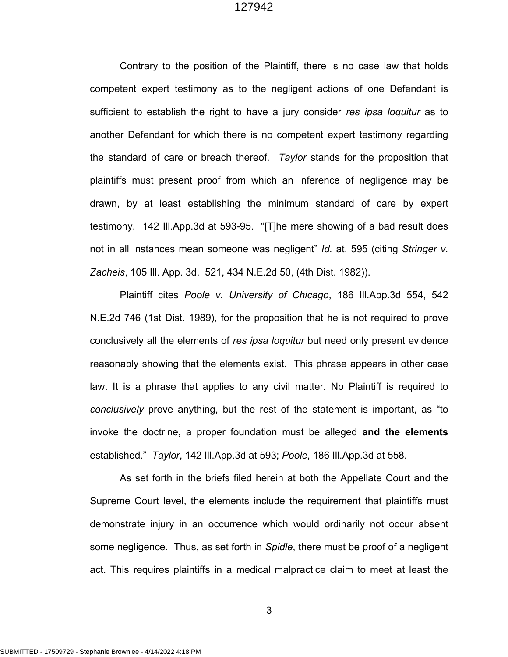Contrary to the position of the Plaintiff, there is no case law that holds competent expert testimony as to the negligent actions of one Defendant is sufficient to establish the right to have a jury consider *res ipsa loquitur* as to another Defendant for which there is no competent expert testimony regarding the standard of care or breach thereof. *Taylor* stands for the proposition that plaintiffs must present proof from which an inference of negligence may be drawn, by at least establishing the minimum standard of care by expert testimony. 142 Ill.App.3d at 593-95. "[T]he mere showing of a bad result does not in all instances mean someone was negligent" *Id.* at. 595 (citing *Stringer v. Zacheis*, 105 Ill. App. 3d. 521, 434 N.E.2d 50, (4th Dist. 1982)).

Plaintiff cites *Poole v. University of Chicago*, 186 Ill.App.3d 554, 542 N.E.2d 746 (1st Dist. 1989), for the proposition that he is not required to prove conclusively all the elements of *res ipsa loquitur* but need only present evidence reasonably showing that the elements exist. This phrase appears in other case law. It is a phrase that applies to any civil matter. No Plaintiff is required to *conclusively* prove anything, but the rest of the statement is important, as "to invoke the doctrine, a proper foundation must be alleged **and the elements**  established." *Taylor*, 142 Ill.App.3d at 593; *Poole*, 186 Ill.App.3d at 558.

As set forth in the briefs filed herein at both the Appellate Court and the Supreme Court level, the elements include the requirement that plaintiffs must demonstrate injury in an occurrence which would ordinarily not occur absent some negligence. Thus, as set forth in *Spidle*, there must be proof of a negligent act. This requires plaintiffs in a medical malpractice claim to meet at least the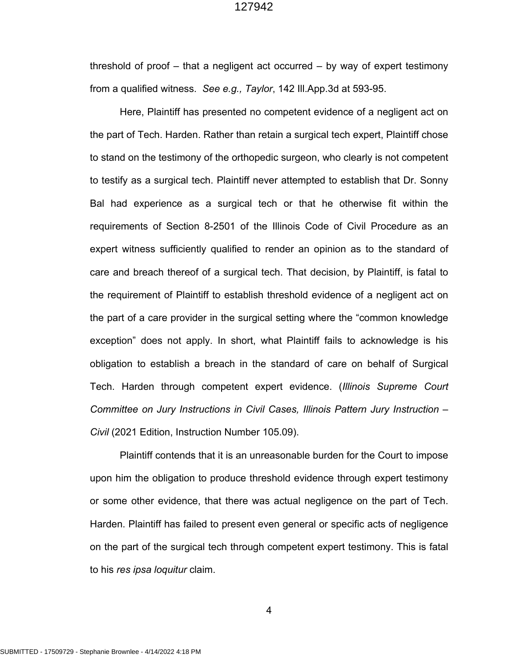threshold of proof – that a negligent act occurred – by way of expert testimony from a qualified witness. *See e.g., Taylor*, 142 Ill.App.3d at 593-95.

Here, Plaintiff has presented no competent evidence of a negligent act on the part of Tech. Harden. Rather than retain a surgical tech expert, Plaintiff chose to stand on the testimony of the orthopedic surgeon, who clearly is not competent to testify as a surgical tech. Plaintiff never attempted to establish that Dr. Sonny Bal had experience as a surgical tech or that he otherwise fit within the requirements of Section 8-2501 of the Illinois Code of Civil Procedure as an expert witness sufficiently qualified to render an opinion as to the standard of care and breach thereof of a surgical tech. That decision, by Plaintiff, is fatal to the requirement of Plaintiff to establish threshold evidence of a negligent act on the part of a care provider in the surgical setting where the "common knowledge exception" does not apply. In short, what Plaintiff fails to acknowledge is his obligation to establish a breach in the standard of care on behalf of Surgical Tech. Harden through competent expert evidence. (*Illinois Supreme Court Committee on Jury Instructions in Civil Cases, Illinois Pattern Jury Instruction – Civil* (2021 Edition, Instruction Number 105.09).

Plaintiff contends that it is an unreasonable burden for the Court to impose upon him the obligation to produce threshold evidence through expert testimony or some other evidence, that there was actual negligence on the part of Tech. Harden. Plaintiff has failed to present even general or specific acts of negligence on the part of the surgical tech through competent expert testimony. This is fatal to his *res ipsa loquitur* claim.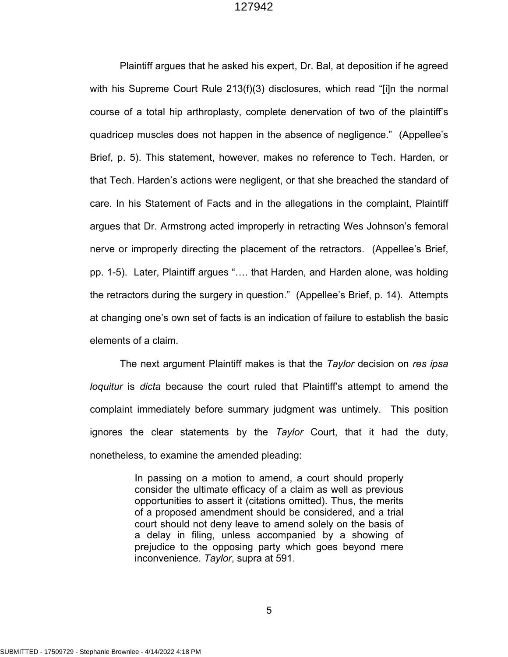Plaintiff argues that he asked his expert, Dr. Bal, at deposition if he agreed with his Supreme Court Rule 213(f)(3) disclosures, which read "[i]n the normal course of a total hip arthroplasty, complete denervation of two of the plaintiff's quadricep muscles does not happen in the absence of negligence." (Appellee's Brief, p. 5). This statement, however, makes no reference to Tech. Harden, or that Tech. Harden's actions were negligent, or that she breached the standard of care. In his Statement of Facts and in the allegations in the complaint, Plaintiff argues that Dr. Armstrong acted improperly in retracting Wes Johnson's femoral nerve or improperly directing the placement of the retractors. (Appellee's Brief, pp. 1-5). Later, Plaintiff argues "…. that Harden, and Harden alone, was holding the retractors during the surgery in question." (Appellee's Brief, p. 14). Attempts at changing one's own set of facts is an indication of failure to establish the basic elements of a claim.

The next argument Plaintiff makes is that the *Taylor* decision on *res ipsa loquitur* is *dicta* because the court ruled that Plaintiff's attempt to amend the complaint immediately before summary judgment was untimely. This position ignores the clear statements by the *Taylor* Court, that it had the duty, nonetheless, to examine the amended pleading:

> In passing on a motion to amend, a court should properly consider the ultimate efficacy of a claim as well as previous opportunities to assert it (citations omitted). Thus, the merits of a proposed amendment should be considered, and a trial court should not deny leave to amend solely on the basis of a delay in filing, unless accompanied by a showing of prejudice to the opposing party which goes beyond mere inconvenience. *Taylor*, supra at 591.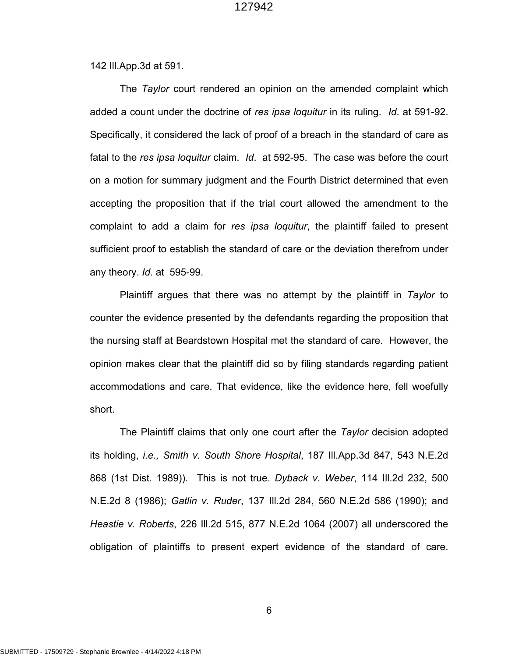142 Ill.App.3d at 591.

The *Taylor* court rendered an opinion on the amended complaint which added a count under the doctrine of *res ipsa loquitur* in its ruling. *Id*. at 591-92. Specifically, it considered the lack of proof of a breach in the standard of care as fatal to the *res ipsa loquitur* claim. *Id*. at 592-95. The case was before the court on a motion for summary judgment and the Fourth District determined that even accepting the proposition that if the trial court allowed the amendment to the complaint to add a claim for *res ipsa loquitur*, the plaintiff failed to present sufficient proof to establish the standard of care or the deviation therefrom under any theory. *Id.* at 595-99.

Plaintiff argues that there was no attempt by the plaintiff in *Taylor* to counter the evidence presented by the defendants regarding the proposition that the nursing staff at Beardstown Hospital met the standard of care. However, the opinion makes clear that the plaintiff did so by filing standards regarding patient accommodations and care. That evidence, like the evidence here, fell woefully short.

The Plaintiff claims that only one court after the *Taylor* decision adopted its holding, *i.e., Smith v. South Shore Hospital*, 187 Ill.App.3d 847, 543 N.E.2d 868 (1st Dist. 1989)). This is not true. *Dyback v. Weber*, 114 Ill.2d 232, 500 N.E.2d 8 (1986); *Gatlin v. Ruder*, 137 Ill.2d 284, 560 N.E.2d 586 (1990); and *Heastie v. Roberts*, 226 Ill.2d 515, 877 N.E.2d 1064 (2007) all underscored the obligation of plaintiffs to present expert evidence of the standard of care.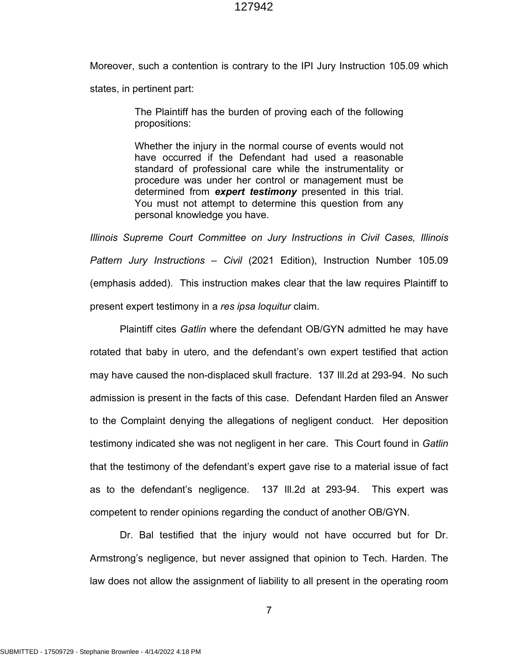Moreover, such a contention is contrary to the IPI Jury Instruction 105.09 which states, in pertinent part:

> The Plaintiff has the burden of proving each of the following propositions:

> Whether the injury in the normal course of events would not have occurred if the Defendant had used a reasonable standard of professional care while the instrumentality or procedure was under her control or management must be determined from *expert testimony* presented in this trial. You must not attempt to determine this question from any personal knowledge you have.

*Illinois Supreme Court Committee on Jury Instructions in Civil Cases, Illinois Pattern Jury Instructions – Civil* (2021 Edition), Instruction Number 105.09 (emphasis added). This instruction makes clear that the law requires Plaintiff to present expert testimony in a *res ipsa loquitur* claim.

Plaintiff cites *Gatlin* where the defendant OB/GYN admitted he may have rotated that baby in utero, and the defendant's own expert testified that action may have caused the non-displaced skull fracture. 137 Ill.2d at 293-94. No such admission is present in the facts of this case. Defendant Harden filed an Answer to the Complaint denying the allegations of negligent conduct. Her deposition testimony indicated she was not negligent in her care. This Court found in *Gatlin*  that the testimony of the defendant's expert gave rise to a material issue of fact as to the defendant's negligence. 137 Ill.2d at 293-94. This expert was competent to render opinions regarding the conduct of another OB/GYN.

Dr. Bal testified that the injury would not have occurred but for Dr. Armstrong's negligence, but never assigned that opinion to Tech. Harden. The law does not allow the assignment of liability to all present in the operating room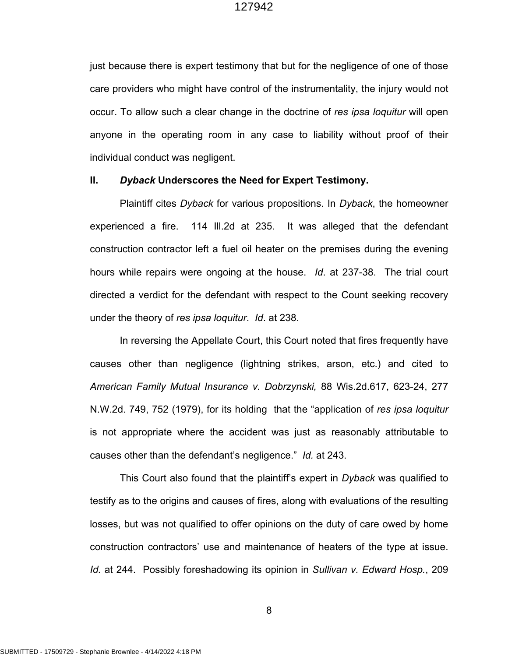just because there is expert testimony that but for the negligence of one of those care providers who might have control of the instrumentality, the injury would not occur. To allow such a clear change in the doctrine of *res ipsa loquitur* will open anyone in the operating room in any case to liability without proof of their individual conduct was negligent.

#### **II.** *Dyback* **Underscores the Need for Expert Testimony.**

Plaintiff cites *Dyback* for various propositions. In *Dyback*, the homeowner experienced a fire. 114 Ill.2d at 235. It was alleged that the defendant construction contractor left a fuel oil heater on the premises during the evening hours while repairs were ongoing at the house. *Id*. at 237-38. The trial court directed a verdict for the defendant with respect to the Count seeking recovery under the theory of *res ipsa loquitur*. *Id*. at 238.

In reversing the Appellate Court, this Court noted that fires frequently have causes other than negligence (lightning strikes, arson, etc.) and cited to *American Family Mutual Insurance v. Dobrzynski,* 88 Wis.2d.617, 623-24, 277 N.W.2d. 749, 752 (1979), for its holding that the "application of *res ipsa loquitur* is not appropriate where the accident was just as reasonably attributable to causes other than the defendant's negligence." *Id.* at 243.

This Court also found that the plaintiff's expert in *Dyback* was qualified to testify as to the origins and causes of fires, along with evaluations of the resulting losses, but was not qualified to offer opinions on the duty of care owed by home construction contractors' use and maintenance of heaters of the type at issue. *Id.* at 244. Possibly foreshadowing its opinion in *Sullivan v. Edward Hosp.*, 209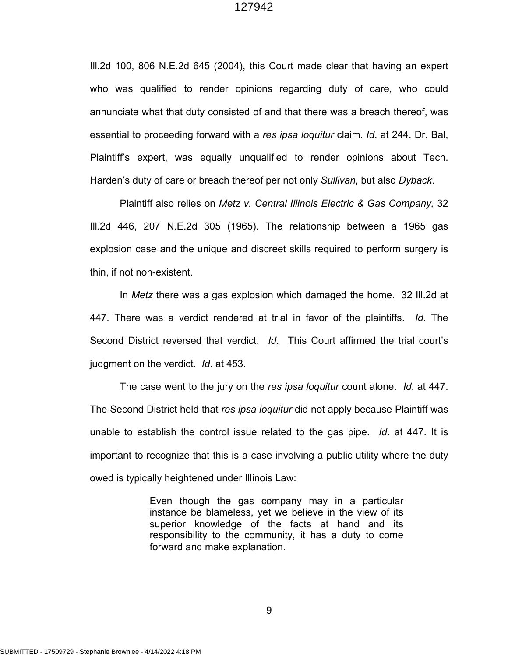Ill.2d 100, 806 N.E.2d 645 (2004), this Court made clear that having an expert who was qualified to render opinions regarding duty of care, who could annunciate what that duty consisted of and that there was a breach thereof, was essential to proceeding forward with a *res ipsa loquitur* claim. *Id*. at 244. Dr. Bal, Plaintiff's expert, was equally unqualified to render opinions about Tech. Harden's duty of care or breach thereof per not only *Sullivan*, but also *Dyback*.

Plaintiff also relies on *Metz v. Central Illinois Electric & Gas Company,* 32 Ill.2d 446, 207 N.E.2d 305 (1965). The relationship between a 1965 gas explosion case and the unique and discreet skills required to perform surgery is thin, if not non-existent.

In *Metz* there was a gas explosion which damaged the home. 32 Ill.2d at 447. There was a verdict rendered at trial in favor of the plaintiffs. *Id*. The Second District reversed that verdict. *Id*. This Court affirmed the trial court's judgment on the verdict. *Id*. at 453.

The case went to the jury on the *res ipsa loquitur* count alone. *Id*. at 447. The Second District held that *res ipsa loquitur* did not apply because Plaintiff was unable to establish the control issue related to the gas pipe. *Id*. at 447. It is important to recognize that this is a case involving a public utility where the duty owed is typically heightened under Illinois Law:

> Even though the gas company may in a particular instance be blameless, yet we believe in the view of its superior knowledge of the facts at hand and its responsibility to the community, it has a duty to come forward and make explanation.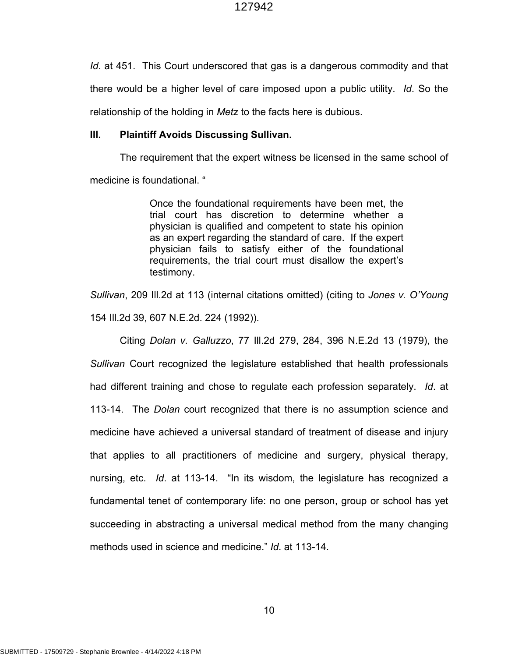*Id*. at 451. This Court underscored that gas is a dangerous commodity and that there would be a higher level of care imposed upon a public utility. *Id*. So the relationship of the holding in *Metz* to the facts here is dubious.

## **III. Plaintiff Avoids Discussing Sullivan.**

The requirement that the expert witness be licensed in the same school of medicine is foundational. "

> Once the foundational requirements have been met, the trial court has discretion to determine whether a physician is qualified and competent to state his opinion as an expert regarding the standard of care. If the expert physician fails to satisfy either of the foundational requirements, the trial court must disallow the expert's testimony.

*Sullivan*, 209 Ill.2d at 113 (internal citations omitted) (citing to *Jones v. O'Young* 154 Ill.2d 39, 607 N.E.2d. 224 (1992)).

Citing *Dolan v. Galluzzo*, 77 Ill.2d 279, 284, 396 N.E.2d 13 (1979), the *Sullivan* Court recognized the legislature established that health professionals had different training and chose to regulate each profession separately. *Id*. at 113-14. The *Dolan* court recognized that there is no assumption science and medicine have achieved a universal standard of treatment of disease and injury that applies to all practitioners of medicine and surgery, physical therapy, nursing, etc. *Id*. at 113-14. "In its wisdom, the legislature has recognized a fundamental tenet of contemporary life: no one person, group or school has yet succeeding in abstracting a universal medical method from the many changing methods used in science and medicine." *Id*. at 113-14.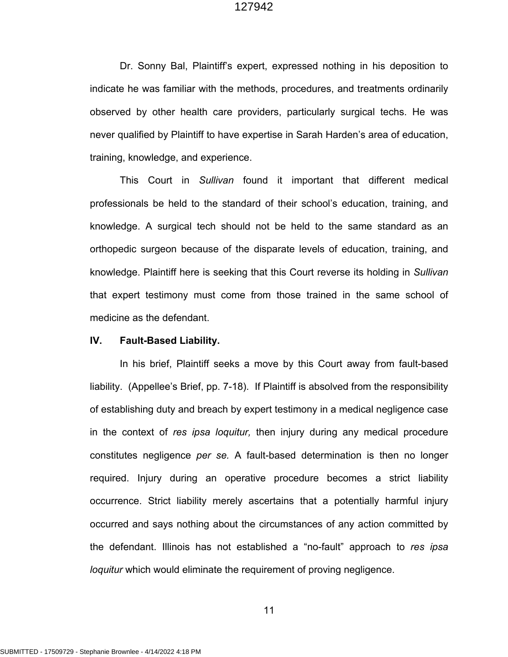Dr. Sonny Bal, Plaintiff's expert, expressed nothing in his deposition to indicate he was familiar with the methods, procedures, and treatments ordinarily observed by other health care providers, particularly surgical techs. He was never qualified by Plaintiff to have expertise in Sarah Harden's area of education, training, knowledge, and experience.

This Court in *Sullivan* found it important that different medical professionals be held to the standard of their school's education, training, and knowledge. A surgical tech should not be held to the same standard as an orthopedic surgeon because of the disparate levels of education, training, and knowledge. Plaintiff here is seeking that this Court reverse its holding in *Sullivan* that expert testimony must come from those trained in the same school of medicine as the defendant.

### **IV. Fault-Based Liability.**

In his brief, Plaintiff seeks a move by this Court away from fault-based liability. (Appellee's Brief, pp. 7-18). If Plaintiff is absolved from the responsibility of establishing duty and breach by expert testimony in a medical negligence case in the context of *res ipsa loquitur,* then injury during any medical procedure constitutes negligence *per se.* A fault-based determination is then no longer required. Injury during an operative procedure becomes a strict liability occurrence. Strict liability merely ascertains that a potentially harmful injury occurred and says nothing about the circumstances of any action committed by the defendant. Illinois has not established a "no-fault" approach to *res ipsa loquitur* which would eliminate the requirement of proving negligence.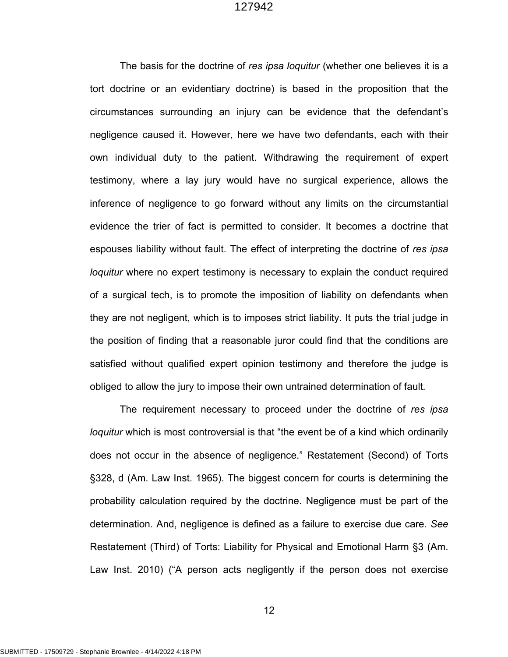The basis for the doctrine of *res ipsa loquitur* (whether one believes it is a tort doctrine or an evidentiary doctrine) is based in the proposition that the circumstances surrounding an injury can be evidence that the defendant's negligence caused it. However, here we have two defendants, each with their own individual duty to the patient. Withdrawing the requirement of expert testimony, where a lay jury would have no surgical experience, allows the inference of negligence to go forward without any limits on the circumstantial evidence the trier of fact is permitted to consider. It becomes a doctrine that espouses liability without fault. The effect of interpreting the doctrine of *res ipsa loquitur* where no expert testimony is necessary to explain the conduct required of a surgical tech, is to promote the imposition of liability on defendants when they are not negligent, which is to imposes strict liability. It puts the trial judge in the position of finding that a reasonable juror could find that the conditions are satisfied without qualified expert opinion testimony and therefore the judge is obliged to allow the jury to impose their own untrained determination of fault*.*

The requirement necessary to proceed under the doctrine of *res ipsa loquitur* which is most controversial is that "the event be of a kind which ordinarily does not occur in the absence of negligence." Restatement (Second) of Torts §328, d (Am. Law Inst. 1965). The biggest concern for courts is determining the probability calculation required by the doctrine. Negligence must be part of the determination. And, negligence is defined as a failure to exercise due care. *See* Restatement (Third) of Torts: Liability for Physical and Emotional Harm §3 (Am. Law Inst. 2010) ("A person acts negligently if the person does not exercise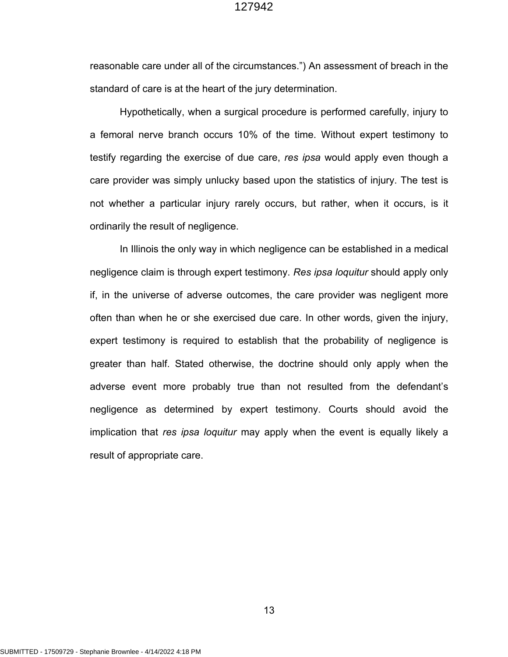reasonable care under all of the circumstances.") An assessment of breach in the standard of care is at the heart of the jury determination.

Hypothetically, when a surgical procedure is performed carefully, injury to a femoral nerve branch occurs 10% of the time. Without expert testimony to testify regarding the exercise of due care, *res ipsa* would apply even though a care provider was simply unlucky based upon the statistics of injury. The test is not whether a particular injury rarely occurs, but rather, when it occurs, is it ordinarily the result of negligence.

In Illinois the only way in which negligence can be established in a medical negligence claim is through expert testimony. *Res ipsa loquitur* should apply only if, in the universe of adverse outcomes, the care provider was negligent more often than when he or she exercised due care. In other words, given the injury, expert testimony is required to establish that the probability of negligence is greater than half. Stated otherwise, the doctrine should only apply when the adverse event more probably true than not resulted from the defendant's negligence as determined by expert testimony. Courts should avoid the implication that *res ipsa loquitur* may apply when the event is equally likely a result of appropriate care.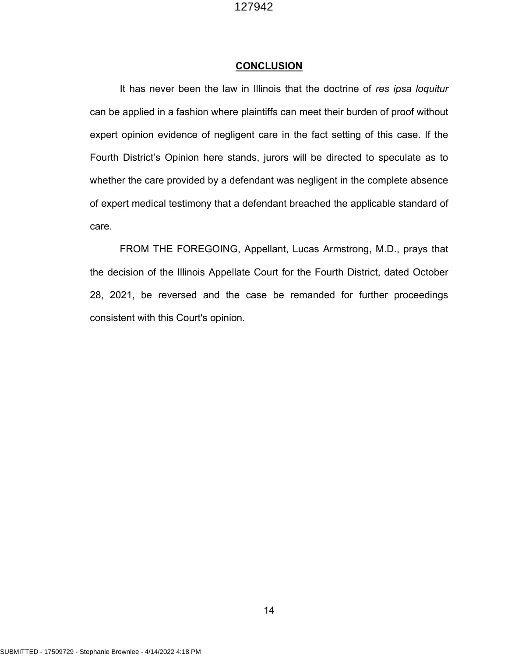#### **CONCLUSION**

It has never been the law in Illinois that the doctrine of *res ipsa loquitur* can be applied in a fashion where plaintiffs can meet their burden of proof without expert opinion evidence of negligent care in the fact setting of this case. If the Fourth District's Opinion here stands, jurors will be directed to speculate as to whether the care provided by a defendant was negligent in the complete absence of expert medical testimony that a defendant breached the applicable standard of care.

FROM THE FOREGOING, Appellant, Lucas Armstrong, M.D., prays that the decision of the Illinois Appellate Court for the Fourth District, dated October 28, 2021, be reversed and the case be remanded for further proceedings consistent with this Court's opinion.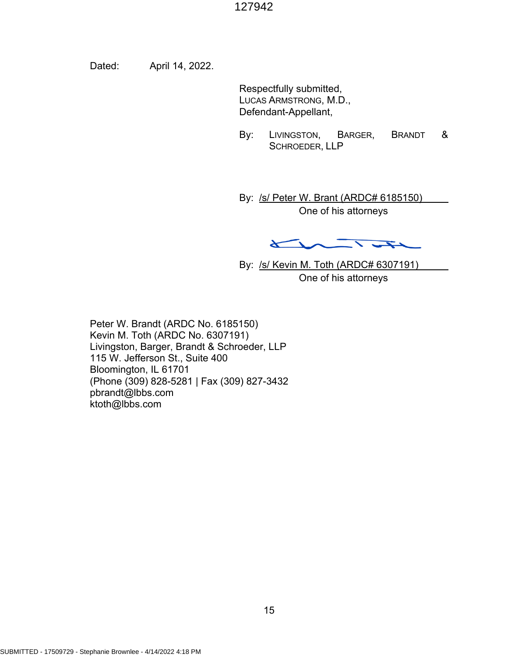Dated: April 14, 2022.

Respectfully submitted, LUCAS ARMSTRONG, M.D., Defendant-Appellant,

By: LIVINGSTON, BARGER, BRANDT & SCHROEDER, LLP

By: /s/ Peter W. Brant (ARDC# 6185150) One of his attorneys

 $\overline{\phantom{a}}$  $\overline{\mathbf{r}}$ 

By: /s/ Kevin M. Toth (ARDC# 6307191) One of his attorneys

Peter W. Brandt (ARDC No. 6185150) Kevin M. Toth (ARDC No. 6307191) Livingston, Barger, Brandt & Schroeder, LLP 115 W. Jefferson St., Suite 400 Bloomington, IL 61701 (Phone (309) 828-5281 | Fax (309) 827-3432 pbrandt@lbbs.com ktoth@lbbs.com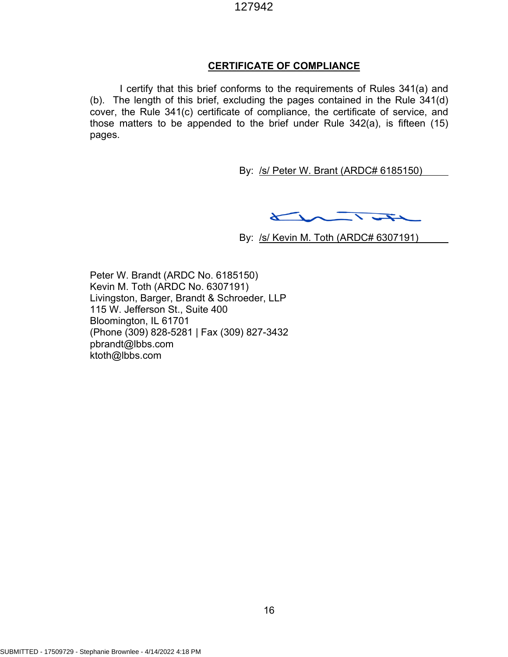## **CERTIFICATE OF COMPLIANCE**

I certify that this brief conforms to the requirements of Rules 341(a) and (b). The length of this brief, excluding the pages contained in the Rule 341(d) cover, the Rule 341(c) certificate of compliance, the certificate of service, and those matters to be appended to the brief under Rule 342(a), is fifteen (15) pages.

By: /s/ Peter W. Brant (ARDC# 6185150)

 $\overline{\phantom{0}}$  $\sqrt{2}$ 

By: /s/ Kevin M. Toth (ARDC# 6307191)

Peter W. Brandt (ARDC No. 6185150) Kevin M. Toth (ARDC No. 6307191) Livingston, Barger, Brandt & Schroeder, LLP 115 W. Jefferson St., Suite 400 Bloomington, IL 61701 (Phone (309) 828-5281 | Fax (309) 827-3432 pbrandt@lbbs.com ktoth@lbbs.com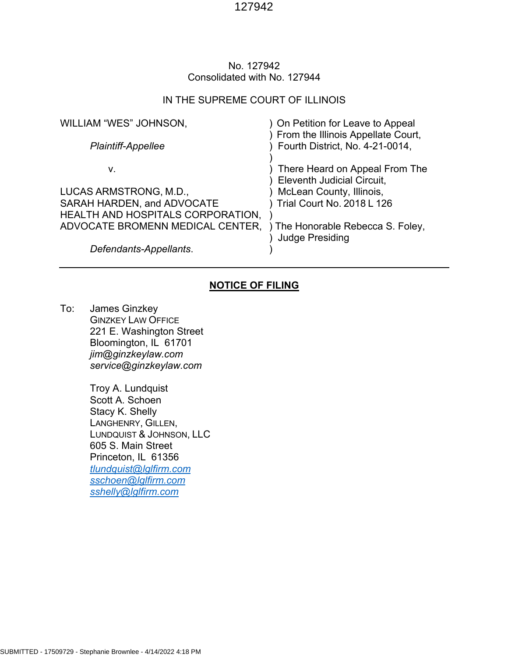## No. 127942 Consolidated with No. 127944

#### IN THE SUPREME COURT OF ILLINOIS

| WILLIAM "WES" JOHNSON,<br>Plaintiff-Appellee | ) On Petition for Leave to Appeal<br>From the Illinois Appellate Court,<br>Fourth District, No. 4-21-0014, |
|----------------------------------------------|------------------------------------------------------------------------------------------------------------|
|                                              |                                                                                                            |
| v.                                           | There Heard on Appeal From The<br>Eleventh Judicial Circuit,                                               |
| LUCAS ARMSTRONG, M.D.,                       | McLean County, Illinois,                                                                                   |
| SARAH HARDEN, and ADVOCATE                   | Trial Court No. 2018 L 126                                                                                 |
| HEALTH AND HOSPITALS CORPORATION,            |                                                                                                            |
| ADVOCATE BROMENN MEDICAL CENTER,             | ) The Honorable Rebecca S. Foley,<br><b>Judge Presiding</b>                                                |
| Defendants-Appellants.                       |                                                                                                            |

# **NOTICE OF FILING**

To: James Ginzkey GINZKEY LAW OFFICE 221 E. Washington Street Bloomington, IL 61701 *jim@ginzkeylaw.com service@ginzkeylaw.com*

> Troy A. Lundquist Scott A. Schoen Stacy K. Shelly LANGHENRY, GILLEN, LUNDQUIST & JOHNSON, LLC 605 S. Main Street Princeton, IL 61356 *tlundquist@lglfirm.com sschoen@lglfirm.com sshelly@lglfirm.com*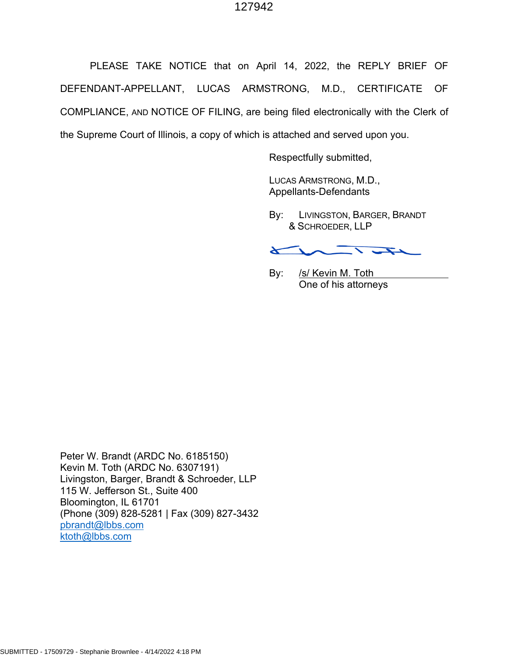PLEASE TAKE NOTICE that on April 14, 2022, the REPLY BRIEF OF DEFENDANT-APPELLANT, LUCAS ARMSTRONG, M.D., CERTIFICATE OF COMPLIANCE, AND NOTICE OF FILING, are being filed electronically with the Clerk of the Supreme Court of Illinois, a copy of which is attached and served upon you.

Respectfully submitted,

LUCAS ARMSTRONG, M.D., Appellants-Defendants

By: LIVINGSTON, BARGER, BRANDT & SCHROEDER, LLP

 $\overline{\phantom{a}}$  $\leftarrow$ 

By: /s/ Kevin M. Toth One of his attorneys

Peter W. Brandt (ARDC No. 6185150) Kevin M. Toth (ARDC No. 6307191) Livingston, Barger, Brandt & Schroeder, LLP 115 W. Jefferson St., Suite 400 Bloomington, IL 61701 (Phone (309) 828-5281 | Fax (309) 827-3432 pbrandt@lbbs.com ktoth@lbbs.com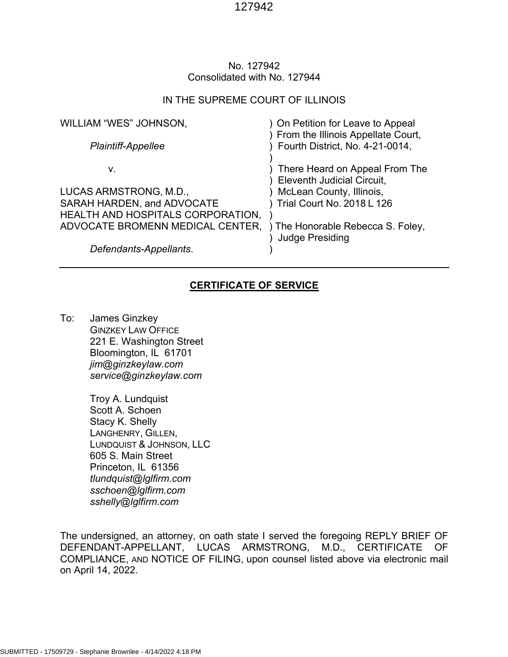## No. 127942 Consolidated with No. 127944

## IN THE SUPREME COURT OF ILLINOIS

| WILLIAM "WES" JOHNSON,<br>Plaintiff-Appellee | ) On Petition for Leave to Appeal<br>From the Illinois Appellate Court,<br>Fourth District, No. 4-21-0014, |
|----------------------------------------------|------------------------------------------------------------------------------------------------------------|
| v.                                           | There Heard on Appeal From The<br>Eleventh Judicial Circuit,                                               |
| LUCAS ARMSTRONG, M.D.,                       | McLean County, Illinois,                                                                                   |
| SARAH HARDEN, and ADVOCATE                   | Trial Court No. 2018 L 126                                                                                 |
| HEALTH AND HOSPITALS CORPORATION,            |                                                                                                            |
| ADVOCATE BROMENN MEDICAL CENTER,             | ) The Honorable Rebecca S. Foley,<br><b>Judge Presiding</b>                                                |
| Defendants-Appellants.                       |                                                                                                            |

# **CERTIFICATE OF SERVICE**

To: James Ginzkey GINZKEY LAW OFFICE 221 E. Washington Street Bloomington, IL 61701 *jim@ginzkeylaw.com service@ginzkeylaw.com*

> Troy A. Lundquist Scott A. Schoen Stacy K. Shelly LANGHENRY, GILLEN, LUNDQUIST & JOHNSON, LLC 605 S. Main Street Princeton, IL 61356 *tlundquist@lglfirm.com sschoen@lglfirm.com sshelly@lglfirm.com*

The undersigned, an attorney, on oath state I served the foregoing REPLY BRIEF OF DEFENDANT-APPELLANT, LUCAS ARMSTRONG, M.D., CERTIFICATE OF COMPLIANCE, AND NOTICE OF FILING, upon counsel listed above via electronic mail on April 14, 2022.